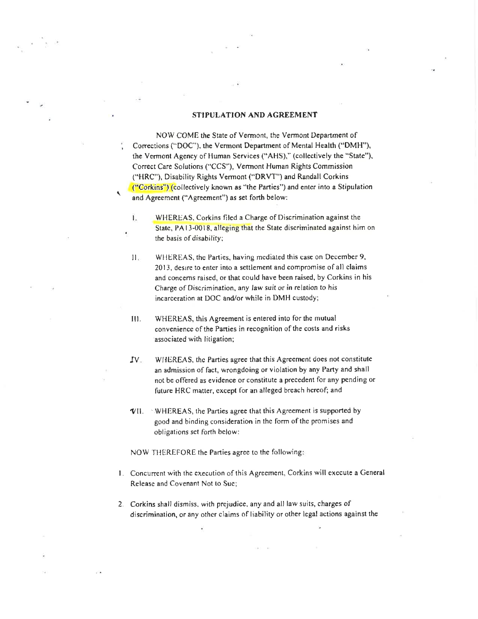### STIPULATION AND AGREEMENT

NOW COME the State of Vermont, the Vermont Department of Corrections ("DOC"), the Vermont Department of Mental Health ("DMH"), ihe Vermont Agency of Human Services ("AHS)," (collectively the "State"), Correct Care Solutions ("CCS"), Vermont Human Rights Commission ("HRC"), Disability Rights Vermont ('DRVT") and Randall Corkins ("Corkins") (collectively known as "the Parties") and enter into a Stipulation and Agreemcnt ("Agreement") as set forth below:

 $\overline{\phantom{0}}$ 

- Ï. WHEREAS, Corkins filed a Charge of Discrimination against the State, PA13-0018, alleging that the State discriminated against him on the basis of disability;
- II. WHEREAS, the Parties, having mediated this case on December 9, 2013, desrre to enter into a settlement and compromisc of all claims and concerns raised, or that could have been raised, by Corkins in his Charge of Discrimination, any law suit or in relation to his incarceration at DOC and/or while in DMH custody;
- III. WHEREAS, this Agreement is entered into for the mutual convenience of the Parties in recognition of the costs and risks associated with litigation;
- WHEREAS, the Parties agree that this Agreement does not constitute an admission of fact, wrongdoing or violation by any Party and shall not be offered as evidence or constitute a preccdent for any pending or future HRC matter, cxcepl for an alleged breach hercof; and JV
- $VII.$  WHEREAS, the Parties agree that this Agreement is supported by good and binding consideration in the form of the promises and obligations set forth bclow:

NOW THEREFORE the Parties agree to the following:

- l. Concunent with the cxecution of this Agrecment, Corkins will cxccute a General Releasc and Covenant Not to Suc;
- 2. Corkins shall dismiss, with prejudice, any and all law suits, charges of discrimination, or any othcr claims of liability or other legal actions against the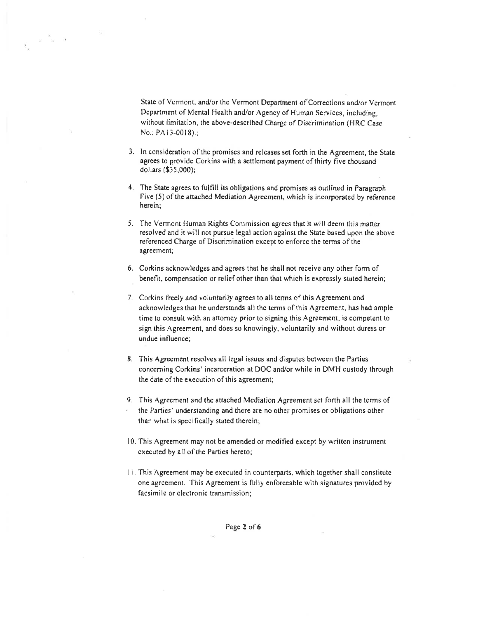State of Vermont, and/or the Vermont Department of Corrections and/or Vermont Dcpartment of Mental Health and/or Agency of Human Serviccs, including, without limitation, the above-describcd Charge of Discriminarion (HRC Case No.: PA l3-0018).;

 $\overline{v} = \frac{\overline{v}}{v} = \overline{v}$ 

- 3. In consideration of the promises and releases set forth in the Agreement, the State agrecs to provide Corkins with a settlemcnt payment of thirty five thousand dollars (\$35,000);
- 4. The State agrees to fulfill its obligations and promises as outlined in Paragraph Five (5) of the attached Mediation Agreement, which is incorporated by reference herein;
- 5. The Vermont Human Rights Commission agrees that it will deem this matter resolved and it will not pursue legal action against the State based upon the above referenced Charge of Discrimination except to enforce the terms of the agrecment;
- 6. Corkins acknowledges and agrecs that he shall not receive any other form ol benefit, compensation or relief other than that which is expressly stated herein;
- 7. Corkins freely and voluntarily agrees to all terms of this Agreement and acknowledges that he undcrstands all thc tcrms of this Agreement, has had ample time to consult with an attorney prior to signing this Agreement, is competent to sign this Agreement, and does so knowingly, voluntarily and without duress or undue influence;
- 8. This Agrecment resolves all legal issues and disputes between the Parties concerning Corkins' incarceration at DOC and/or while in DMH custody through the date of the execution of this agreement;
- 9. This Agrecment and the attached Mediation Agreement set fonh all the terms of the Parties' understanding and there are no other promises or obligations other than what is specifically stated therein;
- 10. 'fhis Agreemcnt may not be ame nded or modified except by writtcn instrument executed by all of the Parties hereto;
- <sup>I</sup>l. This Agreement rnay be executed in counterparts. which together shall constitutc one agrccment. This Agreement is fully enforceable with signatures provided by facsimile or electronic transmission;

Page 2 of 6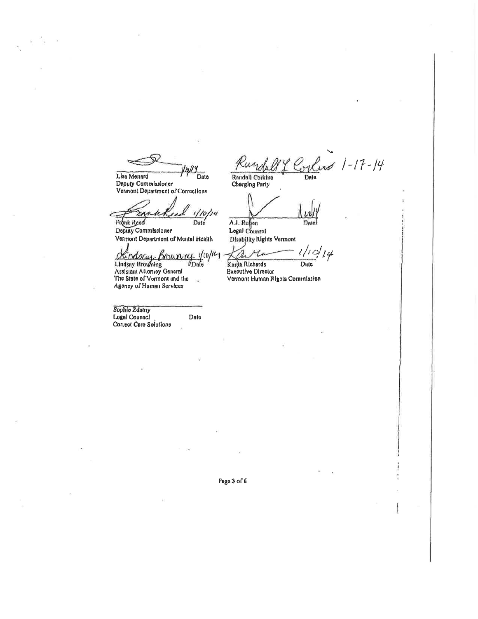Lisa Menard Date Deputy Commissioner Vermont Department of Corrections

 $1/10/14$ 

Frank Reed Date Deputy Commissioner Vermont Department of Montal Health

y (10/14)<br>Dale Mindolay Mislanung<br>Lindsay Browning<br>Assistant Attorney General<br>The State of Vermont and the Bourvey

Date

.<br>Si Agency of Human Services

Sophie 2datny<br>Lugal Counsel Correct Care Solutions

lend 1-17-14 Date

Randall Corkins Charging Party

A.J. Rupon Date Disability Rights Vermont

 $1/10/14$  $_{\text{Date}}$ 

Kardtı Richards **Executive Director** Vermont Human Rights Commission

Page 3 of 6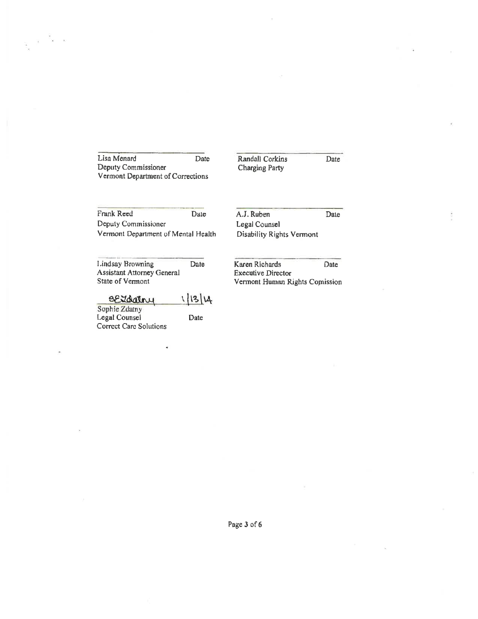Lisa Menard Date Deputy Commissioner Vermont Department of Corrections

÷.

Randall Corkins Charging Party Date

Frank Reed Date Deputy Commissioner Vermont Department of Mental Health A.J, Ruben Legal Counsel Disability Rights Vcrmont Date

Lindsay Browning Date Assistant Attorney General State of Vermont

# eeldative 1/13/14<br>
Sophie Zdatny<br>
Legal Counsel Date

Legal Counsel Corrcct Carc Solutions

Karen Richards Date Executive Director Vennont Human Rights Copission

Page 3 of 6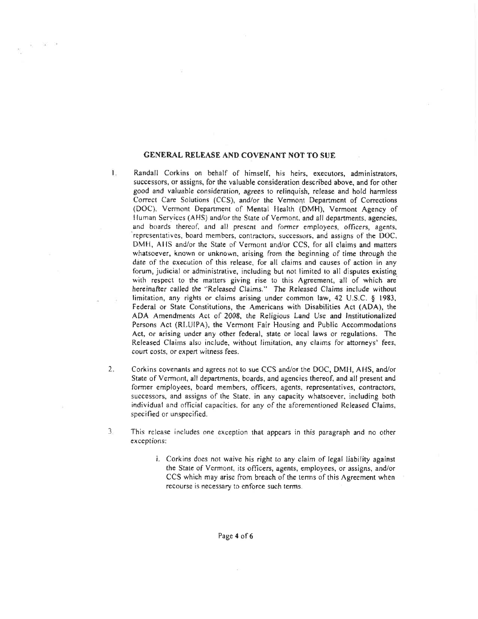#### GENERAL RELEASE AND COVENANT NOT TO SUE

- 1. Randall Corkins on behalf of hirnself, his heirs, executors, administrators, successors, or assigns, for the valuable consideration described above, and for other good and valuable consideration, agrees to relinquish, release and hold harmless Correct Care Solutions (CCS), and/or the Vermont Department of Corrections (DOC). Vcrmont Department of Mcntal llcalth (DMH), Vermont Agency of Human Services (AHS) and/or the State of Vermont, and all departments, agencies, and boards thereof, and all present and former employees, officers, agents, representatives, board members, contractors, successors, and assigns of the DOC, DMH, AHS and/or the State of Vermont and/or CCS, for all claims and matters whatsoever, known or unknown, arising from the beginning of time through thc date of the cxecution of this release. for all claims and causes of action in any forum, judicial or administrative, including but not limited to all disputes existing with respect to the matters giving rise to this Agreement, all of which are hereinafter called the "Released Claims." The Released Claims include without limitation, any rights or claims arising under common law, 42 U.S.C. § 1983, Fcderal or State Constitutions, the Amcricans with Disabilities Act (ADA), the ADA Amendments Act of 2008, the Religious Land Use and Institutionalized Persons Act (RLUIPA), the Vermont Fair Housing and Public Accommodations Acl, or arising under any other federal, state or local laws or regulations. The Released Claims also include, without limitation, any clairns for attorneys' fees. court costs, or expert witncss fees.
- 2. Corkins covenants and agrees not lo sue CCS and/or the DOC, DMll, AHS, and/or State of Vermont, all departments, boards, and agencies thereof, and all present and former employces, board members, officers, agents, representatives, contractors, successors, and assigns of the State, in any capacity whatsoever, including both individual and oflicial capacities. for any of the aforementioncd Released Claims, specified or unspecified.
- This release includes one exception that appcars in this paragraph and no other exceptions: 3
	- i. Corkins does not waive his right to any claim of legal liability against the State of Vermont, its officers, agents, employees, or assigns, and/or CCS which may arise from breach of the terms of this Agreement when recourse is necessary to enforce such terms.

Page 4 of 6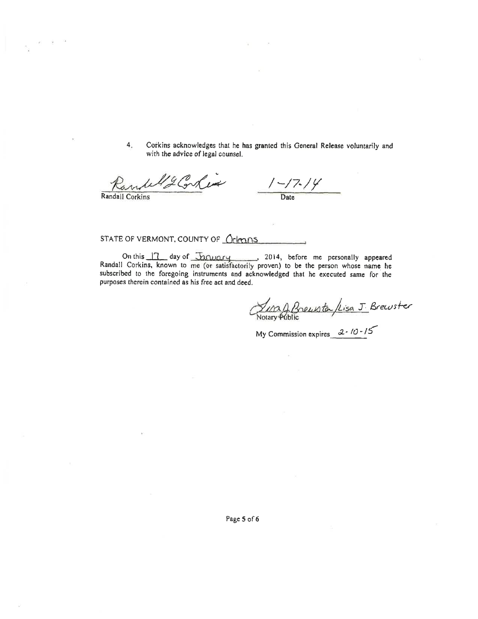$4<sub>1</sub>$ Corkins acknowledges that he has granted this General Release voluntarily and with the advice of legal counsel.

42 Conlux

Randall Corkins

 $\frac{1-\frac{7}{4}}{2}$ Date

STATE OF VERMONT, COUNTY OF <u>Orleans</u>

On this 17 day of Tanuary 3014, before me personally appeared<br>Randall Corkins, known to me (or satisfactorily proven) to be the person whose name he<br>subscribed to the foregoing instruments and acknowledged that he executed purposes therein contained as his free act and deed.

Lung A Breuster /Lisa J Breuster<br>Notary Public

My Commission expires  $2 \cdot 10 \cdot 15$ 

Page 5 of 6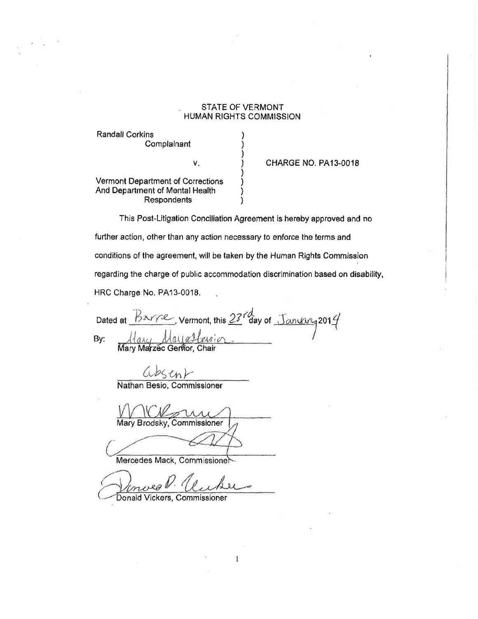## STATE OF VERMONT HUMAN RIGHTS COMMISSION

) ) ) ) ) ) ) )

**Randall Corkins Complainant** 

v.

CHARGE NO. PA13.OO18

Vermont Departmont of Corrections And Department of Mental Health **Respondents** 

This Post-Litigation Conciliation Agreement is hereby approved and no further action, other than any action necessary to enforce the terms and conditions of the agreement, will be taken by the Human Rights Commission regarding the charge of public accommodation discrimination based on disability, HRC Charge No. PA13-0018.

 $\mathbf{1}$ 

Dated at  $\frac{B^{\infty}r}{2}$ , Vermont, this  $23^{7}$  day of  $By:$  large Mayasterrion Mary Mayaffersion

&b5'cnt-

Nathan Besio, Commissioner

Mary Brodsky, Commissioner

Mercedes Mack, Comm

P.

Donald Vickers, Commissioner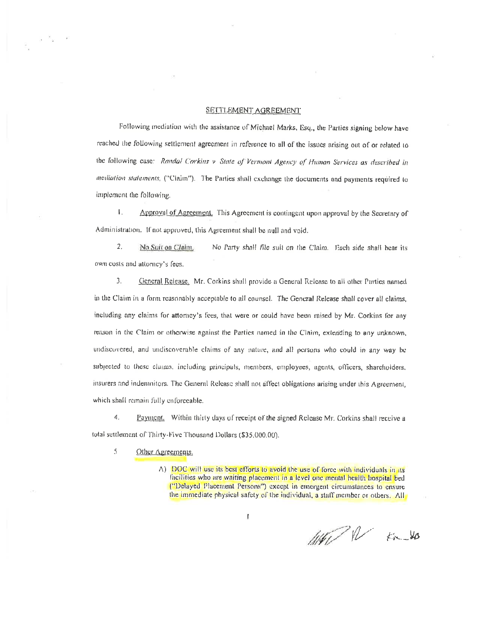#### SETTLEMENT AGREEMENT

Following mediation with the assistance of Michael Marks, Esq., the Parties signing below have reached the following settlement agreement in reference to all of the issues arising out of or related to the following case: Randal Corkins v State of Vermont Agency of Human Services as described in mediation statements, ("Claim"). The Parties shall exchange the documents and payments required to implement the following.

Τ. Approval of Agreement. This Agreement is contingent upon approval by the Secretary of Administration. If not approved, this Agreement shall be null and void.

2. No Suit on Claim. No Party shall file suit on the Claim. Each side shall bear its own costs and attorney's fees.

 $3.$ General Release. Mr. Corkins shall provide a General Release to all other Parties named in the Claim in a form reasonably acceptable to all counsel. The General Release shall cover all claims, including any claims for attorney's fees, that were or could have been raised by Mr. Corkins for any reason in the Claim or otherwise against the Parties named in the Claim, extending to any unknown, undiscovered, and undiscoverable claims of any nature, and all persons who could in any way be subjected to these claims, including principals, members, employees, agents, officers, shareholders, insurers and indemnitors. The General Release shall not affect obligations arising under this Agreement, which shall remain fully enforceable.

4. Payment. Within thirty days of receipt of the signed Release Mr. Corkins shall receive a total settlement of Thirty-Five Thousand Dollars (\$35,000.00).

- 5 Other Agreements.
	- A) DOC will use its best efforts to avoid the use of force with individuals in its facilities who are waiting placement in a level one mental health bospital bed ("Delayed Placement Persons") except in emergent circumstances to ensure the immediate physical safety of the individual, a staff member or others. All

ł

West N 80 Vo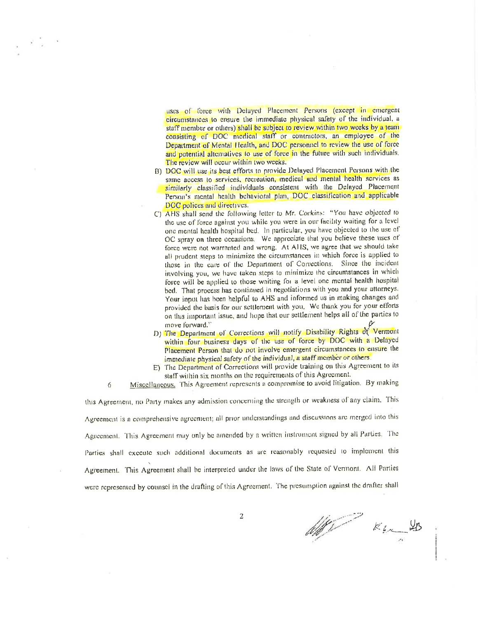uses of force with Delayed Placement Persons (except in emergent circumstances to ensure the immediate physical safety of the individual, a staff member or others) shall be subject to review within two weeks by a team consisting of DOC medical staff or contractors, an employee of the Department of Mental Health, and DOC personnel to review the use of force and potential alternatives to use of force in the future with such individuals. The review will occur within two weeks.

- B) DOC will use its best efforts to provide Delayed Placement Persons with the same access to services, recreation, medical and mental health services as similarly classified individuals consistent with the Delayed Placement Person's mental health behavioral plan, DOC classification and applicable DOC polices and directives.
- C) AHS shall send the following letter to Mr. Corkins: "You have objected to the use of force against you while you were in our facility waiting for a level one mental health hospital bed. In particular, you have objected to the use of OC spray on three occasions. We appreciate that you believe these uses of force were not warranted and wrong. At AHS, we agree that we should take all prudent steps to minimize the circumstances in which force is applied to those in the care of the Department of Corrections. Since the incident involving you, we have taken steps to minimize the circumstances in which force will be applied to those waiting for a level one mental health hospital bed. That process has continued in negotiations with you and your attorneys. Your input has been helpful to AHS and informed us in making changes and provided the basis for our settlement with you. We thank you for your efforts on this important issue, and hope that our settlement belps all of the parties to move forward."
- D) The Department of Corrections will notify Disability Rights of Vermont within four business days of the use of force by DOC with a Delayed Placement Person that do not involve emergent circumstances to ensure the immediate physical safety of the individual, a staff member or others.
- E) The Department of Corrections will provide training on this Agreement to its staff within six months on the requirements of this Agreement.

Miscellaneous. This Agreement represents a compromise to avoid litigation. By making 6

this Agreement, no Party makes any admission concerning the strength or weakness of any claim. This Agreement is a comprehensive agreement; all prior understandings and discussions are merged into this Agreement. This Agreement may only be amended by a written instrument signed by all Parties. The Parties shall execute such additional documents as are reasonably requested to implement this Agreement. This Agreement shall be interpreted under the laws of the State of Vermont. All Parties were represented by counsel in the drafting of this Agreement. The presumption against the drafter shall

<u> M</u>  $K_{4n}$  43